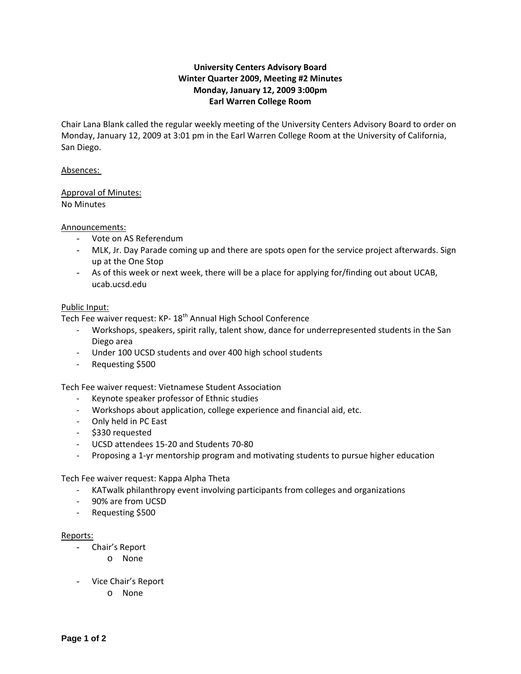# **University Centers Advisory Board Winter Quarter 2009, Meeting #2 Minutes Monday, January 12, 2009 3:00pm Earl Warren College Room**

Chair Lana Blank called the regular weekly meeting of the University Centers Advisory Board to order on Monday, January 12, 2009 at 3:01 pm in the Earl Warren College Room at the University of California, San Diego.

## Absences:

## Approval of Minutes: No Minutes

### Announcements:

- Vote on AS Referendum
- MLK, Jr. Day Parade coming up and there are spots open for the service project afterwards. Sign up at the One Stop
- As of this week or next week, there will be a place for applying for/finding out about UCAB, ucab.ucsd.edu

### Public Input:

Tech Fee waiver request: KP- 18<sup>th</sup> Annual High School Conference

- ‐ Workshops, speakers, spirit rally, talent show, dance for underrepresented students in the San Diego area
- ‐ Under 100 UCSD students and over 400 high school students
- ‐ Requesting \$500

Tech Fee waiver request: Vietnamese Student Association

- ‐ Keynote speaker professor of Ethnic studies
- ‐ Workshops about application, college experience and financial aid, etc.
- ‐ Only held in PC East
- ‐ \$330 requested
- ‐ UCSD attendees 15‐20 and Students 70‐80
- ‐ Proposing a 1‐yr mentorship program and motivating students to pursue higher education

Tech Fee waiver request: Kappa Alpha Theta

- ‐ KATwalk philanthropy event involving participants from colleges and organizations
- ‐ 90% are from UCSD
- ‐ Requesting \$500

#### Reports:

- Chair's Report
	- o None
- Vice Chair's Report
	- o None